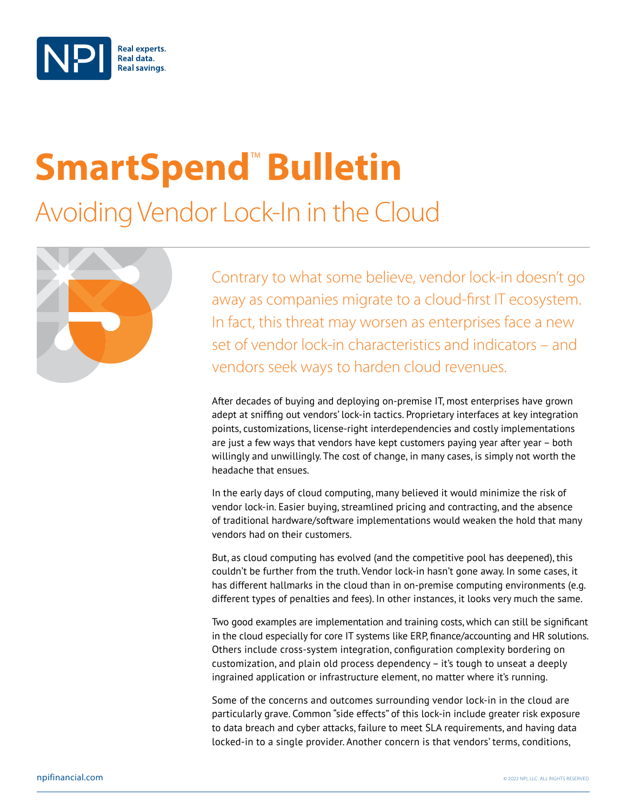

# **SmartSpend<sup>™</sup> Bulletin**

## Avoiding Vendor Lock-In in the Cloud



Contrary to what some believe, vendor lock-in doesn't go away as companies migrate to a cloud-first IT ecosystem. In fact, this threat may worsen as enterprises face a new set of vendor lock-in characteristics and indicators – and vendors seek ways to harden cloud revenues.

After decades of buying and deploying on-premise IT, most enterprises have grown adept at sniffing out vendors' lock-in tactics. Proprietary interfaces at key integration points, customizations, license-right interdependencies and costly implementations are just a few ways that vendors have kept customers paying year after year – both willingly and unwillingly. The cost of change, in many cases, is simply not worth the headache that ensues.

In the early days of cloud computing, many believed it would minimize the risk of vendor lock-in. Easier buying, streamlined pricing and contracting, and the absence of traditional hardware/software implementations would weaken the hold that many vendors had on their customers.

But, as cloud computing has evolved (and the competitive pool has deepened), this couldn't be further from the truth. Vendor lock-in hasn't gone away. In some cases, it has different hallmarks in the cloud than in on-premise computing environments (e.g. different types of penalties and fees). In other instances, it looks very much the same.

Two good examples are implementation and training costs, which can still be significant in the cloud especially for core IT systems like ERP, finance/accounting and HR solutions. Others include cross-system integration, configuration complexity bordering on customization, and plain old process dependency – it's tough to unseat a deeply ingrained application or infrastructure element, no matter where it's running.

Some of the concerns and outcomes surrounding vendor lock-in in the cloud are particularly grave. Common "side effects" of this lock-in include greater risk exposure to data breach and cyber attacks, failure to meet SLA requirements, and having data locked-in to a single provider. Another concern is that vendors' terms, conditions,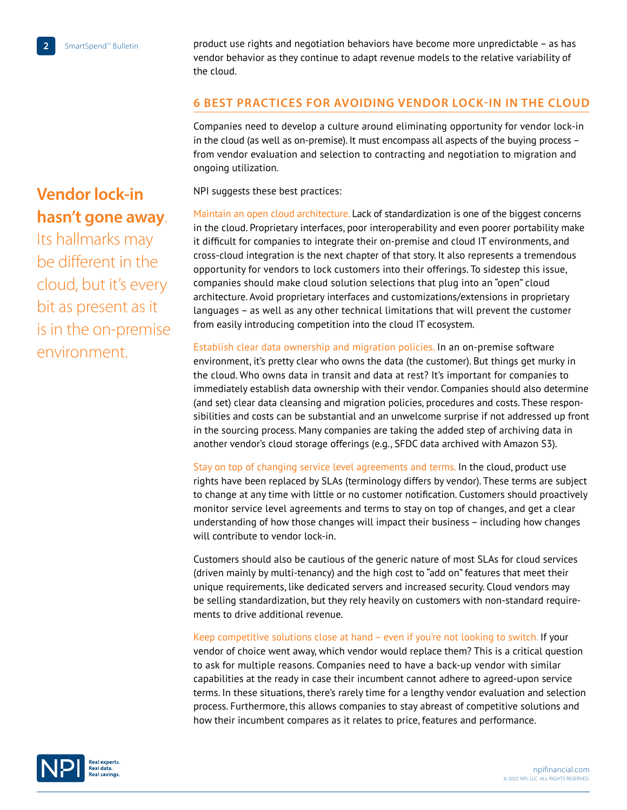product use rights and negotiation behaviors have become more unpredictable – as has vendor behavior as they continue to adapt revenue models to the relative variability of the cloud.

#### **6 BEST PRACTICES FOR AVOIDING VENDOR LOCK-IN IN THE CLOUD**

Companies need to develop a culture around eliminating opportunity for vendor lock-in in the cloud (as well as on-premise). It must encompass all aspects of the buying process – from vendor evaluation and selection to contracting and negotiation to migration and ongoing utilization.

NPI suggests these best practices:

Maintain an open cloud architecture. Lack of standardization is one of the biggest concerns in the cloud. Proprietary interfaces, poor interoperability and even poorer portability make it difficult for companies to integrate their on-premise and cloud IT environments, and cross-cloud integration is the next chapter of that story. It also represents a tremendous opportunity for vendors to lock customers into their offerings. To sidestep this issue, companies should make cloud solution selections that plug into an "open" cloud architecture. Avoid proprietary interfaces and customizations/extensions in proprietary languages – as well as any other technical limitations that will prevent the customer from easily introducing competition into the cloud IT ecosystem.

Establish clear data ownership and migration policies. In an on-premise software environment, it's pretty clear who owns the data (the customer). But things get murky in the cloud. Who owns data in transit and data at rest? It's important for companies to immediately establish data ownership with their vendor. Companies should also determine (and set) clear data cleansing and migration policies, procedures and costs. These responsibilities and costs can be substantial and an unwelcome surprise if not addressed up front in the sourcing process. Many companies are taking the added step of archiving data in another vendor's cloud storage offerings (e.g., SFDC data archived with Amazon S3).

Stay on top of changing service level agreements and terms. In the cloud, product use rights have been replaced by SLAs (terminology differs by vendor). These terms are subject to change at any time with little or no customer notification. Customers should proactively monitor service level agreements and terms to stay on top of changes, and get a clear understanding of how those changes will impact their business – including how changes will contribute to vendor lock-in.

Customers should also be cautious of the generic nature of most SLAs for cloud services (driven mainly by multi-tenancy) and the high cost to "add on" features that meet their unique requirements, like dedicated servers and increased security. Cloud vendors may be selling standardization, but they rely heavily on customers with non-standard requirements to drive additional revenue.

Keep competitive solutions close at hand – even if you're not looking to switch. If your vendor of choice went away, which vendor would replace them? This is a critical question to ask for multiple reasons. Companies need to have a back-up vendor with similar capabilities at the ready in case their incumbent cannot adhere to agreed-upon service terms. In these situations, there's rarely time for a lengthy vendor evaluation and selection process. Furthermore, this allows companies to stay abreast of competitive solutions and how their incumbent compares as it relates to price, features and performance.



## **Vendor lock-in hasn't gone away**.

Its hallmarks may be different in the cloud, but it's every bit as present as it is in the on-premise environment.